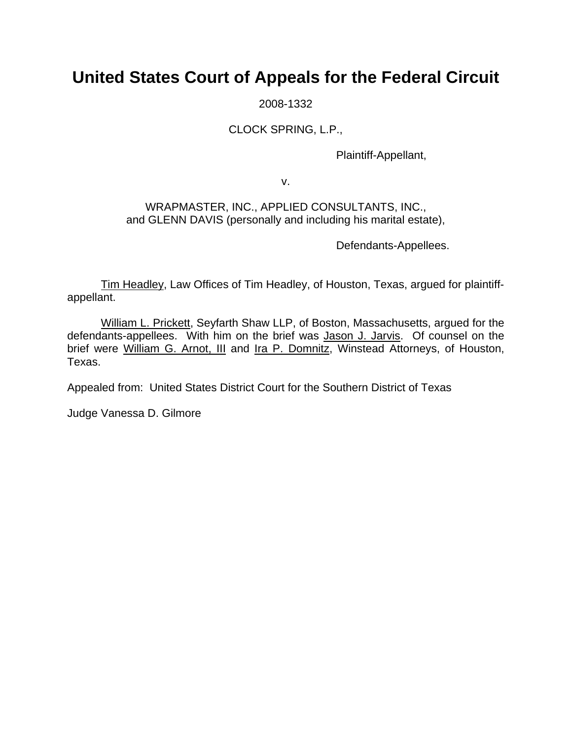# **United States Court of Appeals for the Federal Circuit**

2008-1332

### CLOCK SPRING, L.P.,

Plaintiff-Appellant,

v.

#### WRAPMASTER, INC., APPLIED CONSULTANTS, INC., and GLENN DAVIS (personally and including his marital estate),

Defendants-Appellees.

Tim Headley, Law Offices of Tim Headley, of Houston, Texas, argued for plaintiffappellant.

William L. Prickett, Seyfarth Shaw LLP, of Boston, Massachusetts, argued for the defendants-appellees. With him on the brief was Jason J. Jarvis. Of counsel on the brief were William G. Arnot, III and Ira P. Domnitz, Winstead Attorneys, of Houston, Texas.

Appealed from: United States District Court for the Southern District of Texas

Judge Vanessa D. Gilmore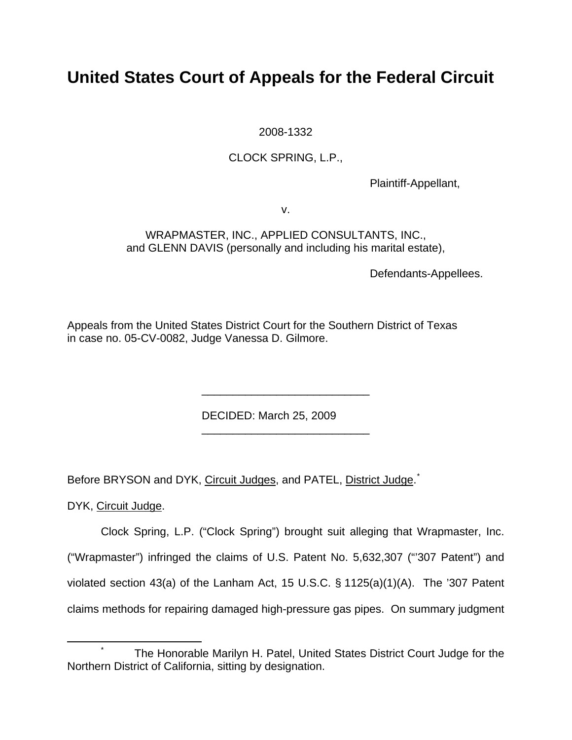# **United States Court of Appeals for the Federal Circuit**

2008-1332

### CLOCK SPRING, L.P.,

Plaintiff-Appellant,

v.

WRAPMASTER, INC., APPLIED CONSULTANTS, INC., and GLENN DAVIS (personally and including his marital estate),

Defendants-Appellees.

Appeals from the United States District Court for the Southern District of Texas in case no. 05-CV-0082, Judge Vanessa D. Gilmore.

DECIDED: March 25, 2009

Before BRYSON and DYK, Circuit Judges, and PATEL, District Judge.<sup>[\\*](#page-1-0)</sup>

 $\frac{1}{2}$  ,  $\frac{1}{2}$  ,  $\frac{1}{2}$  ,  $\frac{1}{2}$  ,  $\frac{1}{2}$  ,  $\frac{1}{2}$  ,  $\frac{1}{2}$  ,  $\frac{1}{2}$  ,  $\frac{1}{2}$  ,  $\frac{1}{2}$  ,  $\frac{1}{2}$  ,  $\frac{1}{2}$  ,  $\frac{1}{2}$  ,  $\frac{1}{2}$  ,  $\frac{1}{2}$  ,  $\frac{1}{2}$  ,  $\frac{1}{2}$  ,  $\frac{1}{2}$  ,  $\frac{1$ 

 $\frac{1}{2}$  ,  $\frac{1}{2}$  ,  $\frac{1}{2}$  ,  $\frac{1}{2}$  ,  $\frac{1}{2}$  ,  $\frac{1}{2}$  ,  $\frac{1}{2}$  ,  $\frac{1}{2}$  ,  $\frac{1}{2}$  ,  $\frac{1}{2}$  ,  $\frac{1}{2}$  ,  $\frac{1}{2}$  ,  $\frac{1}{2}$  ,  $\frac{1}{2}$  ,  $\frac{1}{2}$  ,  $\frac{1}{2}$  ,  $\frac{1}{2}$  ,  $\frac{1}{2}$  ,  $\frac{1$ 

DYK, Circuit Judge.

Clock Spring, L.P. ("Clock Spring") brought suit alleging that Wrapmaster, Inc. ("Wrapmaster") infringed the claims of U.S. Patent No. 5,632,307 ("'307 Patent") and violated section 43(a) of the Lanham Act, 15 U.S.C. § 1125(a)(1)(A). The '307 Patent claims methods for repairing damaged high-pressure gas pipes. On summary judgment

<span id="page-1-0"></span> <sup>\*</sup> The Honorable Marilyn H. Patel, United States District Court Judge for the Northern District of California, sitting by designation.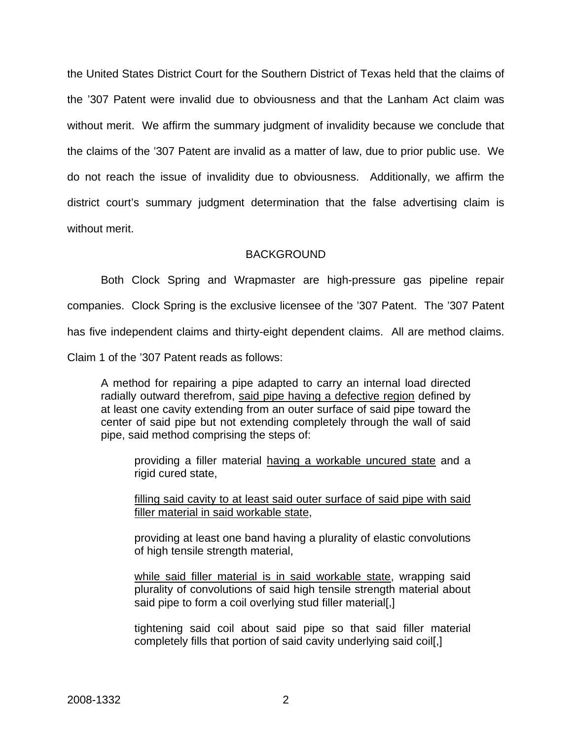the United States District Court for the Southern District of Texas held that the claims of the '307 Patent were invalid due to obviousness and that the Lanham Act claim was without merit. We affirm the summary judgment of invalidity because we conclude that the claims of the '307 Patent are invalid as a matter of law, due to prior public use. We do not reach the issue of invalidity due to obviousness. Additionally, we affirm the district court's summary judgment determination that the false advertising claim is without merit.

#### **BACKGROUND**

Both Clock Spring and Wrapmaster are high-pressure gas pipeline repair companies. Clock Spring is the exclusive licensee of the '307 Patent. The '307 Patent has five independent claims and thirty-eight dependent claims. All are method claims. Claim 1 of the '307 Patent reads as follows:

A method for repairing a pipe adapted to carry an internal load directed radially outward therefrom, said pipe having a defective region defined by at least one cavity extending from an outer surface of said pipe toward the center of said pipe but not extending completely through the wall of said pipe, said method comprising the steps of:

providing a filler material having a workable uncured state and a rigid cured state,

filling said cavity to at least said outer surface of said pipe with said filler material in said workable state,

providing at least one band having a plurality of elastic convolutions of high tensile strength material,

while said filler material is in said workable state, wrapping said plurality of convolutions of said high tensile strength material about said pipe to form a coil overlying stud filler material[,]

tightening said coil about said pipe so that said filler material completely fills that portion of said cavity underlying said coil[,]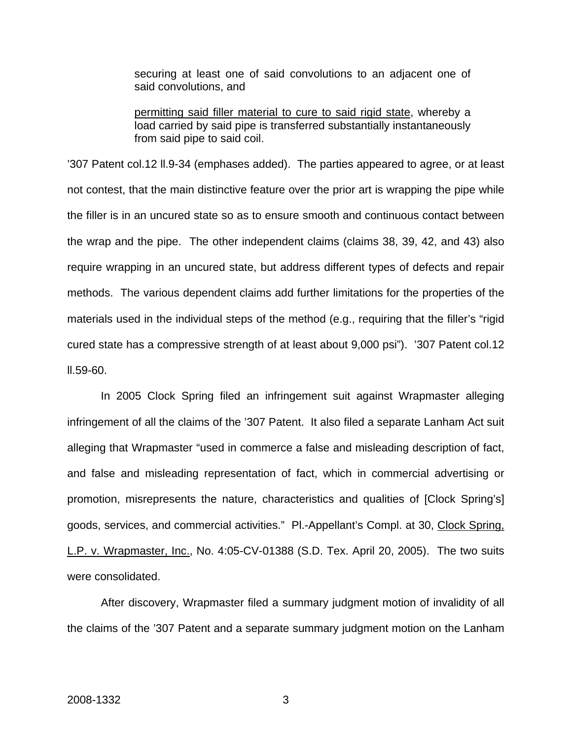securing at least one of said convolutions to an adjacent one of said convolutions, and

permitting said filler material to cure to said rigid state, whereby a load carried by said pipe is transferred substantially instantaneously from said pipe to said coil.

'307 Patent col.12 ll.9-34 (emphases added). The parties appeared to agree, or at least not contest, that the main distinctive feature over the prior art is wrapping the pipe while the filler is in an uncured state so as to ensure smooth and continuous contact between the wrap and the pipe. The other independent claims (claims 38, 39, 42, and 43) also require wrapping in an uncured state, but address different types of defects and repair methods. The various dependent claims add further limitations for the properties of the materials used in the individual steps of the method (e.g., requiring that the filler's "rigid cured state has a compressive strength of at least about 9,000 psi"). '307 Patent col.12 ll.59-60.

In 2005 Clock Spring filed an infringement suit against Wrapmaster alleging infringement of all the claims of the '307 Patent. It also filed a separate Lanham Act suit alleging that Wrapmaster "used in commerce a false and misleading description of fact, and false and misleading representation of fact, which in commercial advertising or promotion, misrepresents the nature, characteristics and qualities of [Clock Spring's] goods, services, and commercial activities." Pl.-Appellant's Compl. at 30, Clock Spring, L.P. v. Wrapmaster, Inc., No. 4:05-CV-01388 (S.D. Tex. April 20, 2005). The two suits were consolidated.

After discovery, Wrapmaster filed a summary judgment motion of invalidity of all the claims of the '307 Patent and a separate summary judgment motion on the Lanham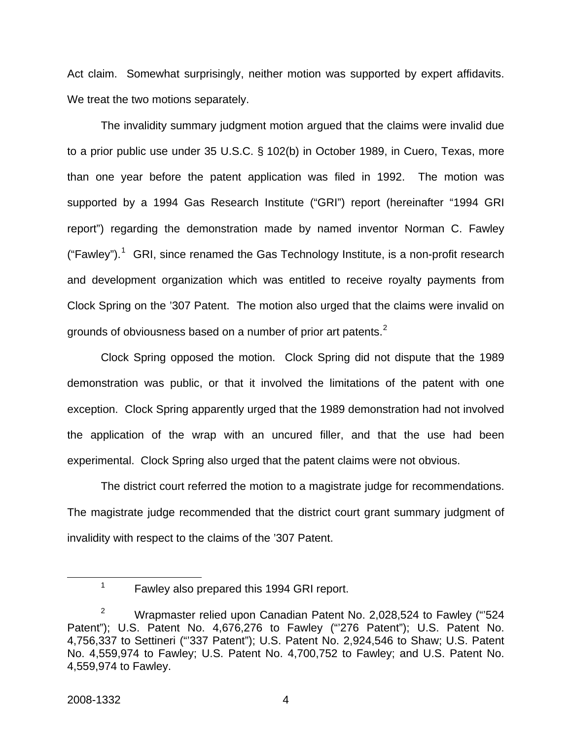Act claim. Somewhat surprisingly, neither motion was supported by expert affidavits. We treat the two motions separately.

The invalidity summary judgment motion argued that the claims were invalid due to a prior public use under 35 U.S.C. § 102(b) in October 1989, in Cuero, Texas, more than one year before the patent application was filed in 1992. The motion was supported by a 1994 Gas Research Institute ("GRI") report (hereinafter "1994 GRI report") regarding the demonstration made by named inventor Norman C. Fawley ("Fawley").<sup>[1](#page-4-0)</sup> GRI, since renamed the Gas Technology Institute, is a non-profit research and development organization which was entitled to receive royalty payments from Clock Spring on the '307 Patent. The motion also urged that the claims were invalid on grounds of obviousness based on a number of prior art patents.<sup>[2](#page-4-1)</sup>

Clock Spring opposed the motion. Clock Spring did not dispute that the 1989 demonstration was public, or that it involved the limitations of the patent with one exception. Clock Spring apparently urged that the 1989 demonstration had not involved the application of the wrap with an uncured filler, and that the use had been experimental. Clock Spring also urged that the patent claims were not obvious.

The district court referred the motion to a magistrate judge for recommendations. The magistrate judge recommended that the district court grant summary judgment of invalidity with respect to the claims of the '307 Patent.

<span id="page-4-0"></span> <sup>1</sup>  $1$  Fawley also prepared this 1994 GRI report.

<span id="page-4-1"></span><sup>2</sup> Wrapmaster relied upon Canadian Patent No. 2,028,524 to Fawley ("'524 Patent"); U.S. Patent No. 4,676,276 to Fawley ("276 Patent"); U.S. Patent No. 4,756,337 to Settineri ("'337 Patent"); U.S. Patent No. 2,924,546 to Shaw; U.S. Patent No. 4,559,974 to Fawley; U.S. Patent No. 4,700,752 to Fawley; and U.S. Patent No. 4,559,974 to Fawley.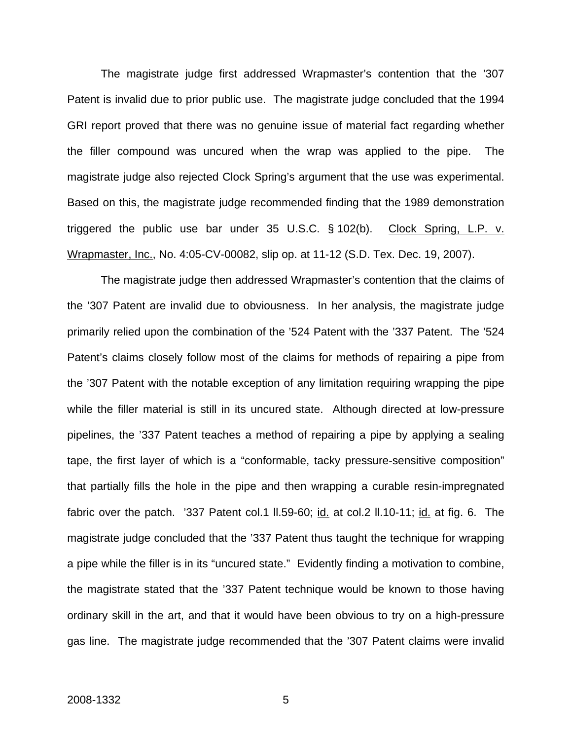The magistrate judge first addressed Wrapmaster's contention that the '307 Patent is invalid due to prior public use. The magistrate judge concluded that the 1994 GRI report proved that there was no genuine issue of material fact regarding whether the filler compound was uncured when the wrap was applied to the pipe. The magistrate judge also rejected Clock Spring's argument that the use was experimental. Based on this, the magistrate judge recommended finding that the 1989 demonstration triggered the public use bar under 35 U.S.C. § 102(b). Clock Spring, L.P. v. Wrapmaster, Inc., No. 4:05-CV-00082, slip op. at 11-12 (S.D. Tex. Dec. 19, 2007).

The magistrate judge then addressed Wrapmaster's contention that the claims of the '307 Patent are invalid due to obviousness. In her analysis, the magistrate judge primarily relied upon the combination of the '524 Patent with the '337 Patent. The '524 Patent's claims closely follow most of the claims for methods of repairing a pipe from the '307 Patent with the notable exception of any limitation requiring wrapping the pipe while the filler material is still in its uncured state. Although directed at low-pressure pipelines, the '337 Patent teaches a method of repairing a pipe by applying a sealing tape, the first layer of which is a "conformable, tacky pressure-sensitive composition" that partially fills the hole in the pipe and then wrapping a curable resin-impregnated fabric over the patch. '337 Patent col.1 ll.59-60; id. at col.2 ll.10-11; id. at fig. 6. The magistrate judge concluded that the '337 Patent thus taught the technique for wrapping a pipe while the filler is in its "uncured state." Evidently finding a motivation to combine, the magistrate stated that the '337 Patent technique would be known to those having ordinary skill in the art, and that it would have been obvious to try on a high-pressure gas line. The magistrate judge recommended that the '307 Patent claims were invalid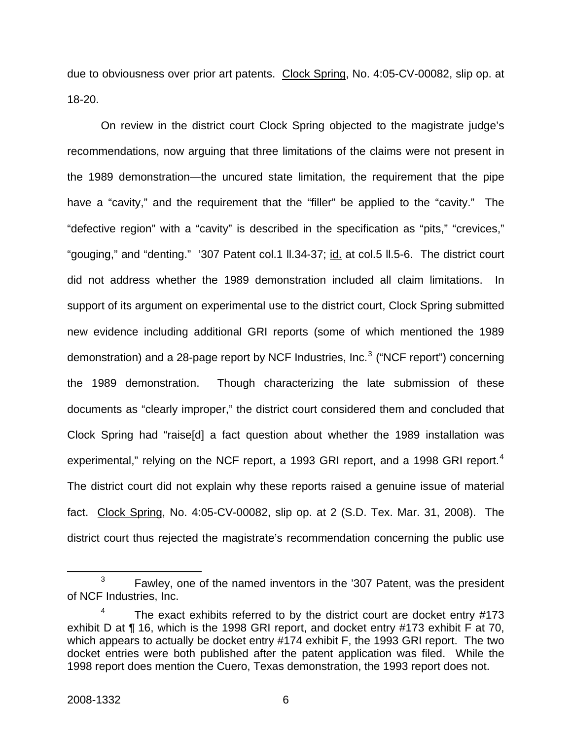due to obviousness over prior art patents. Clock Spring, No. 4:05-CV-00082, slip op. at 18-20.

On review in the district court Clock Spring objected to the magistrate judge's recommendations, now arguing that three limitations of the claims were not present in the 1989 demonstration—the uncured state limitation, the requirement that the pipe have a "cavity," and the requirement that the "filler" be applied to the "cavity." The "defective region" with a "cavity" is described in the specification as "pits," "crevices," "gouging," and "denting." '307 Patent col.1 ll.34-37; id. at col.5 ll.5-6. The district court did not address whether the 1989 demonstration included all claim limitations. In support of its argument on experimental use to the district court, Clock Spring submitted new evidence including additional GRI reports (some of which mentioned the 1989 demonstration) and a 28-page report by NCF Industries, Inc.<sup>[3](#page-6-0)</sup> ("NCF report") concerning the 1989 demonstration. Though characterizing the late submission of these documents as "clearly improper," the district court considered them and concluded that Clock Spring had "raise[d] a fact question about whether the 1989 installation was experimental," relying on the NCF report, a 1993 GRI report, and a 1998 GRI report.<sup>[4](#page-6-1)</sup> The district court did not explain why these reports raised a genuine issue of material fact. Clock Spring, No. 4:05-CV-00082, slip op. at 2 (S.D. Tex. Mar. 31, 2008). The district court thus rejected the magistrate's recommendation concerning the public use

<span id="page-6-0"></span> $\frac{1}{3}$  $3 \times 5$  Fawley, one of the named inventors in the '307 Patent, was the president of NCF Industries, Inc.

<span id="page-6-1"></span><sup>4</sup> The exact exhibits referred to by the district court are docket entry #173 exhibit D at ¶ 16, which is the 1998 GRI report, and docket entry #173 exhibit F at 70, which appears to actually be docket entry #174 exhibit F, the 1993 GRI report. The two docket entries were both published after the patent application was filed. While the 1998 report does mention the Cuero, Texas demonstration, the 1993 report does not.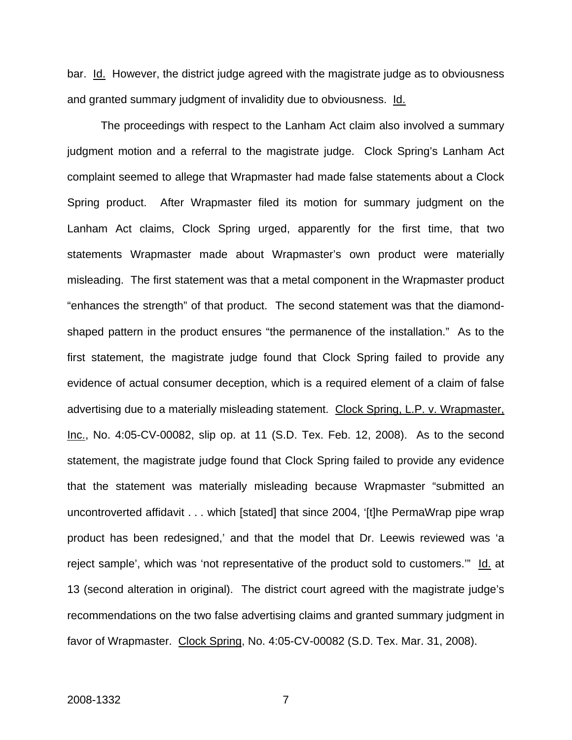bar. Id. However, the district judge agreed with the magistrate judge as to obviousness and granted summary judgment of invalidity due to obviousness. Id.

The proceedings with respect to the Lanham Act claim also involved a summary judgment motion and a referral to the magistrate judge. Clock Spring's Lanham Act complaint seemed to allege that Wrapmaster had made false statements about a Clock Spring product. After Wrapmaster filed its motion for summary judgment on the Lanham Act claims, Clock Spring urged, apparently for the first time, that two statements Wrapmaster made about Wrapmaster's own product were materially misleading. The first statement was that a metal component in the Wrapmaster product "enhances the strength" of that product. The second statement was that the diamondshaped pattern in the product ensures "the permanence of the installation." As to the first statement, the magistrate judge found that Clock Spring failed to provide any evidence of actual consumer deception, which is a required element of a claim of false advertising due to a materially misleading statement. Clock Spring, L.P. v. Wrapmaster, Inc., No. 4:05-CV-00082, slip op. at 11 (S.D. Tex. Feb. 12, 2008). As to the second statement, the magistrate judge found that Clock Spring failed to provide any evidence that the statement was materially misleading because Wrapmaster "submitted an uncontroverted affidavit . . . which [stated] that since 2004, '[t]he PermaWrap pipe wrap product has been redesigned,' and that the model that Dr. Leewis reviewed was 'a reject sample', which was 'not representative of the product sold to customers."" Id. at 13 (second alteration in original). The district court agreed with the magistrate judge's recommendations on the two false advertising claims and granted summary judgment in favor of Wrapmaster. Clock Spring, No. 4:05-CV-00082 (S.D. Tex. Mar. 31, 2008).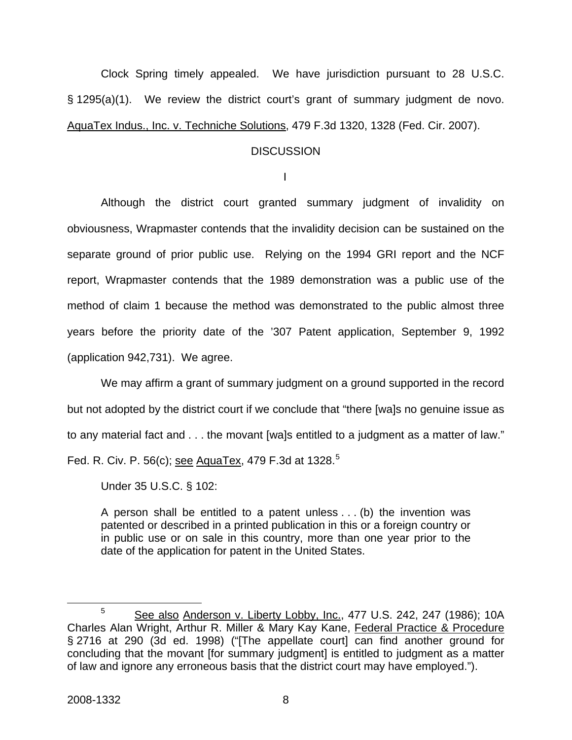Clock Spring timely appealed. We have jurisdiction pursuant to 28 U.S.C. § 1295(a)(1). We review the district court's grant of summary judgment de novo. AquaTex Indus., Inc. v. Techniche Solutions, 479 F.3d 1320, 1328 (Fed. Cir. 2007).

#### **DISCUSSION**

I

Although the district court granted summary judgment of invalidity on obviousness, Wrapmaster contends that the invalidity decision can be sustained on the separate ground of prior public use. Relying on the 1994 GRI report and the NCF report, Wrapmaster contends that the 1989 demonstration was a public use of the method of claim 1 because the method was demonstrated to the public almost three years before the priority date of the '307 Patent application, September 9, 1992 (application 942,731). We agree.

We may affirm a grant of summary judgment on a ground supported in the record but not adopted by the district court if we conclude that "there [wa]s no genuine issue as to any material fact and . . . the movant [wa]s entitled to a judgment as a matter of law." Fed. R. Civ. P. [5](#page-8-0)6(c); see AquaTex, 479 F.3d at 1328.<sup>5</sup>

Under 35 U.S.C. § 102:

A person shall be entitled to a patent unless . . . (b) the invention was patented or described in a printed publication in this or a foreign country or in public use or on sale in this country, more than one year prior to the date of the application for patent in the United States.

<span id="page-8-0"></span><sup>&</sup>lt;sup>5</sup> See also Anderson v. Liberty Lobby, Inc., 477 U.S. 242, 247 (1986); 10A Charles Alan Wright, Arthur R. Miller & Mary Kay Kane, Federal Practice & Procedure § 2716 at 290 (3d ed. 1998) ("[The appellate court] can find another ground for concluding that the movant [for summary judgment] is entitled to judgment as a matter of law and ignore any erroneous basis that the district court may have employed.").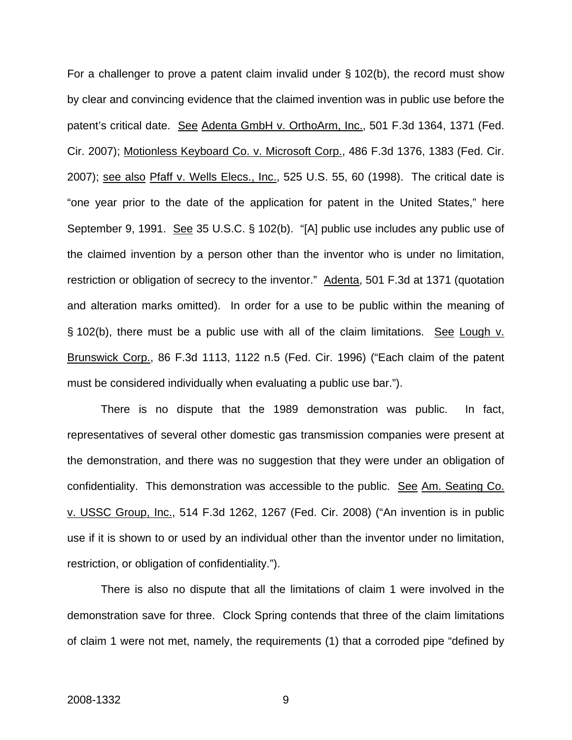For a challenger to prove a patent claim invalid under  $\S$  102(b), the record must show by clear and convincing evidence that the claimed invention was in public use before the patent's critical date. See Adenta GmbH v. OrthoArm, Inc., 501 F.3d 1364, 1371 (Fed. Cir. 2007); Motionless Keyboard Co. v. Microsoft Corp., 486 F.3d 1376, 1383 (Fed. Cir. 2007); see also Pfaff v. Wells Elecs., Inc., 525 U.S. 55, 60 (1998). The critical date is "one year prior to the date of the application for patent in the United States," here September 9, 1991. See 35 U.S.C. § 102(b). "[A] public use includes any public use of the claimed invention by a person other than the inventor who is under no limitation, restriction or obligation of secrecy to the inventor." Adenta, 501 F.3d at 1371 (quotation and alteration marks omitted). In order for a use to be public within the meaning of § 102(b), there must be a public use with all of the claim limitations. See Lough v. Brunswick Corp., 86 F.3d 1113, 1122 n.5 (Fed. Cir. 1996) ("Each claim of the patent must be considered individually when evaluating a public use bar.").

There is no dispute that the 1989 demonstration was public. In fact, representatives of several other domestic gas transmission companies were present at the demonstration, and there was no suggestion that they were under an obligation of confidentiality. This demonstration was accessible to the public. See Am. Seating Co. v. USSC Group, Inc., 514 F.3d 1262, 1267 (Fed. Cir. 2008) ("An invention is in public use if it is shown to or used by an individual other than the inventor under no limitation, restriction, or obligation of confidentiality.").

There is also no dispute that all the limitations of claim 1 were involved in the demonstration save for three. Clock Spring contends that three of the claim limitations of claim 1 were not met, namely, the requirements (1) that a corroded pipe "defined by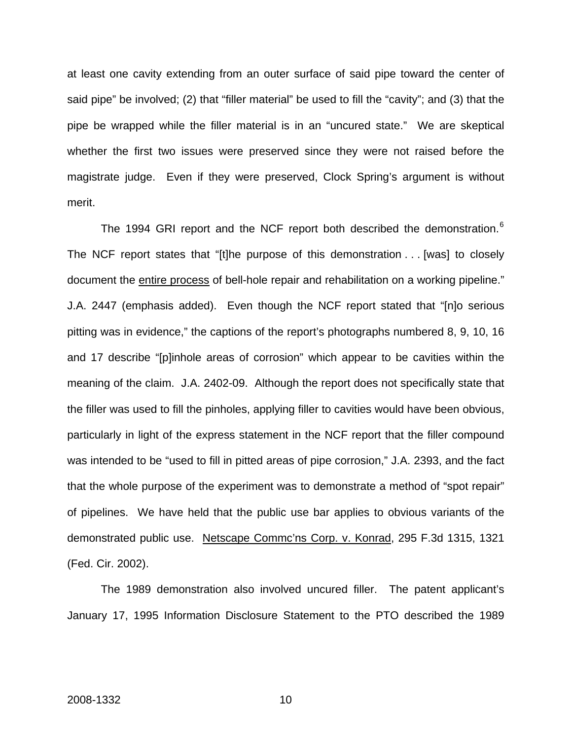at least one cavity extending from an outer surface of said pipe toward the center of said pipe" be involved; (2) that "filler material" be used to fill the "cavity"; and (3) that the pipe be wrapped while the filler material is in an "uncured state." We are skeptical whether the first two issues were preserved since they were not raised before the magistrate judge. Even if they were preserved, Clock Spring's argument is without merit.

The 1994 GRI report and the NCF report both described the demonstration.<sup>[6](#page-10-0)</sup> The NCF report states that "[t]he purpose of this demonstration . . . [was] to closely document the entire process of bell-hole repair and rehabilitation on a working pipeline." J.A. 2447 (emphasis added). Even though the NCF report stated that "[n]o serious pitting was in evidence," the captions of the report's photographs numbered 8, 9, 10, 16 and 17 describe "[p]inhole areas of corrosion" which appear to be cavities within the meaning of the claim. J.A. 2402-09. Although the report does not specifically state that the filler was used to fill the pinholes, applying filler to cavities would have been obvious, particularly in light of the express statement in the NCF report that the filler compound was intended to be "used to fill in pitted areas of pipe corrosion," J.A. 2393, and the fact that the whole purpose of the experiment was to demonstrate a method of "spot repair" of pipelines. We have held that the public use bar applies to obvious variants of the demonstrated public use. Netscape Commc'ns Corp. v. Konrad, 295 F.3d 1315, 1321 (Fed. Cir. 2002).

<span id="page-10-0"></span>The 1989 demonstration also involved uncured filler. The patent applicant's January 17, 1995 Information Disclosure Statement to the PTO described the 1989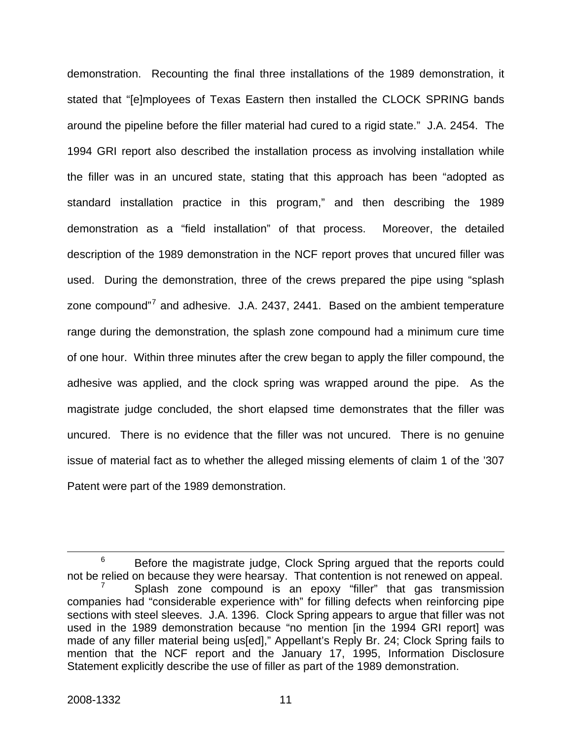demonstration. Recounting the final three installations of the 1989 demonstration, it stated that "[e]mployees of Texas Eastern then installed the CLOCK SPRING bands around the pipeline before the filler material had cured to a rigid state." J.A. 2454. The 1994 GRI report also described the installation process as involving installation while the filler was in an uncured state, stating that this approach has been "adopted as standard installation practice in this program," and then describing the 1989 demonstration as a "field installation" of that process. Moreover, the detailed description of the 1989 demonstration in the NCF report proves that uncured filler was used. During the demonstration, three of the crews prepared the pipe using "splash zone compound"<sup>[7](#page-11-0)</sup> and adhesive. J.A. 2437, 2441. Based on the ambient temperature range during the demonstration, the splash zone compound had a minimum cure time of one hour. Within three minutes after the crew began to apply the filler compound, the adhesive was applied, and the clock spring was wrapped around the pipe. As the magistrate judge concluded, the short elapsed time demonstrates that the filler was uncured. There is no evidence that the filler was not uncured. There is no genuine issue of material fact as to whether the alleged missing elements of claim 1 of the '307 Patent were part of the 1989 demonstration.

<span id="page-11-0"></span> <sup>6</sup>  $6$  Before the magistrate judge, Clock Spring argued that the reports could not be relied on because they were hearsay. That contention is not renewed on appeal. 7 Splash zone compound is an epoxy "filler" that gas transmission companies had "considerable experience with" for filling defects when reinforcing pipe sections with steel sleeves. J.A. 1396. Clock Spring appears to argue that filler was not used in the 1989 demonstration because "no mention [in the 1994 GRI report] was made of any filler material being us[ed]," Appellant's Reply Br. 24; Clock Spring fails to mention that the NCF report and the January 17, 1995, Information Disclosure Statement explicitly describe the use of filler as part of the 1989 demonstration.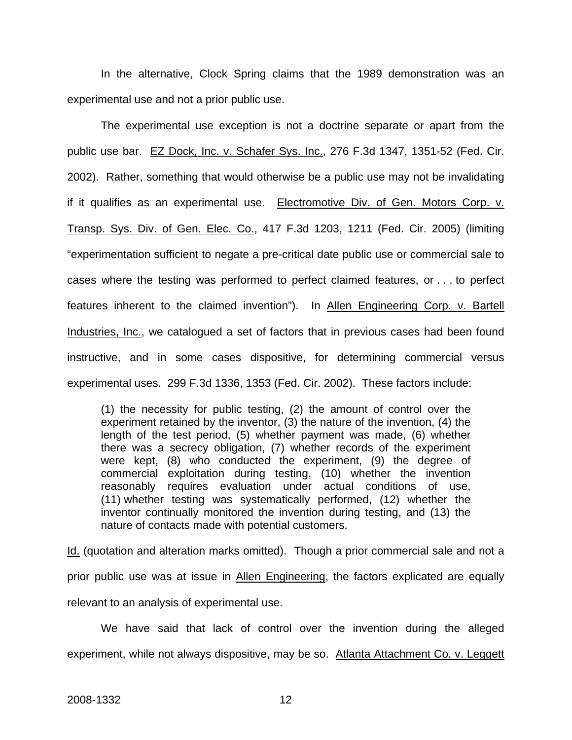In the alternative, Clock Spring claims that the 1989 demonstration was an experimental use and not a prior public use.

The experimental use exception is not a doctrine separate or apart from the public use bar. EZ Dock, Inc. v. Schafer Sys. Inc., 276 F.3d 1347, 1351-52 (Fed. Cir. 2002). Rather, something that would otherwise be a public use may not be invalidating if it qualifies as an experimental use. Electromotive Div. of Gen. Motors Corp. v. Transp. Sys. Div. of Gen. Elec. Co., 417 F.3d 1203, 1211 (Fed. Cir. 2005) (limiting "experimentation sufficient to negate a pre-critical date public use or commercial sale to cases where the testing was performed to perfect claimed features, or . . . to perfect features inherent to the claimed invention"). In Allen Engineering Corp. v. Bartell Industries, Inc., we catalogued a set of factors that in previous cases had been found instructive, and in some cases dispositive, for determining commercial versus experimental uses. 299 F.3d 1336, 1353 (Fed. Cir. 2002). These factors include:

(1) the necessity for public testing, (2) the amount of control over the experiment retained by the inventor, (3) the nature of the invention, (4) the length of the test period, (5) whether payment was made, (6) whether there was a secrecy obligation, (7) whether records of the experiment were kept, (8) who conducted the experiment, (9) the degree of commercial exploitation during testing, (10) whether the invention reasonably requires evaluation under actual conditions of use, (11) whether testing was systematically performed, (12) whether the inventor continually monitored the invention during testing, and (13) the nature of contacts made with potential customers.

Id. (quotation and alteration marks omitted). Though a prior commercial sale and not a prior public use was at issue in Allen Engineering, the factors explicated are equally relevant to an analysis of experimental use.

We have said that lack of control over the invention during the alleged experiment, while not always dispositive, may be so. Atlanta Attachment Co. v. Leggett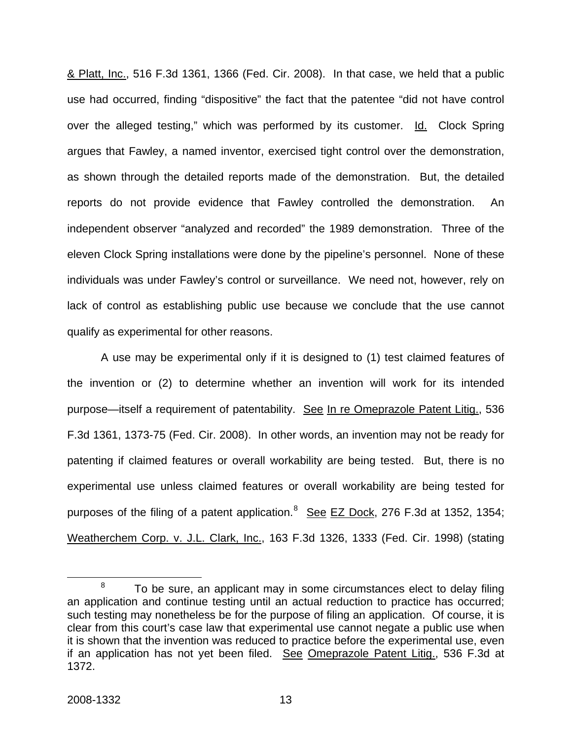& Platt, Inc., 516 F.3d 1361, 1366 (Fed. Cir. 2008). In that case, we held that a public use had occurred, finding "dispositive" the fact that the patentee "did not have control over the alleged testing," which was performed by its customer. Id. Clock Spring argues that Fawley, a named inventor, exercised tight control over the demonstration, as shown through the detailed reports made of the demonstration. But, the detailed reports do not provide evidence that Fawley controlled the demonstration. An independent observer "analyzed and recorded" the 1989 demonstration. Three of the eleven Clock Spring installations were done by the pipeline's personnel. None of these individuals was under Fawley's control or surveillance. We need not, however, rely on lack of control as establishing public use because we conclude that the use cannot qualify as experimental for other reasons.

A use may be experimental only if it is designed to (1) test claimed features of the invention or (2) to determine whether an invention will work for its intended purpose—itself a requirement of patentability. See In re Omeprazole Patent Litig., 536 F.3d 1361, 1373-75 (Fed. Cir. 2008). In other words, an invention may not be ready for patenting if claimed features or overall workability are being tested. But, there is no experimental use unless claimed features or overall workability are being tested for purposes of the filing of a patent application.<sup>[8](#page-13-0)</sup> See EZ Dock, 276 F.3d at 1352, 1354; Weatherchem Corp. v. J.L. Clark, Inc., 163 F.3d 1326, 1333 (Fed. Cir. 1998) (stating

<span id="page-13-0"></span> <sup>8</sup>  $8$  To be sure, an applicant may in some circumstances elect to delay filing an application and continue testing until an actual reduction to practice has occurred; such testing may nonetheless be for the purpose of filing an application. Of course, it is clear from this court's case law that experimental use cannot negate a public use when it is shown that the invention was reduced to practice before the experimental use, even if an application has not yet been filed. See Omeprazole Patent Litig., 536 F.3d at 1372.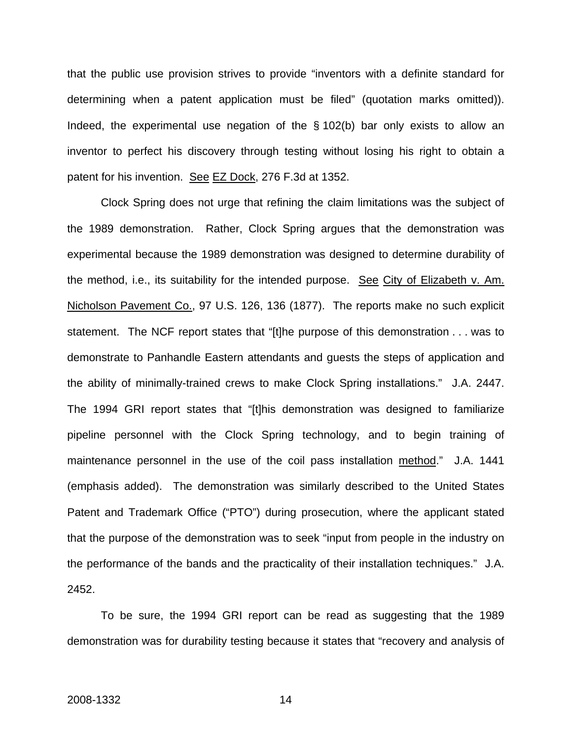that the public use provision strives to provide "inventors with a definite standard for determining when a patent application must be filed" (quotation marks omitted)). Indeed, the experimental use negation of the § 102(b) bar only exists to allow an inventor to perfect his discovery through testing without losing his right to obtain a patent for his invention. See EZ Dock, 276 F.3d at 1352.

Clock Spring does not urge that refining the claim limitations was the subject of the 1989 demonstration. Rather, Clock Spring argues that the demonstration was experimental because the 1989 demonstration was designed to determine durability of the method, i.e., its suitability for the intended purpose. See City of Elizabeth v. Am. Nicholson Pavement Co., 97 U.S. 126, 136 (1877). The reports make no such explicit statement. The NCF report states that "[t]he purpose of this demonstration . . . was to demonstrate to Panhandle Eastern attendants and guests the steps of application and the ability of minimally-trained crews to make Clock Spring installations." J.A. 2447. The 1994 GRI report states that "[t]his demonstration was designed to familiarize pipeline personnel with the Clock Spring technology, and to begin training of maintenance personnel in the use of the coil pass installation method." J.A. 1441 (emphasis added). The demonstration was similarly described to the United States Patent and Trademark Office ("PTO") during prosecution, where the applicant stated that the purpose of the demonstration was to seek "input from people in the industry on the performance of the bands and the practicality of their installation techniques." J.A. 2452.

To be sure, the 1994 GRI report can be read as suggesting that the 1989 demonstration was for durability testing because it states that "recovery and analysis of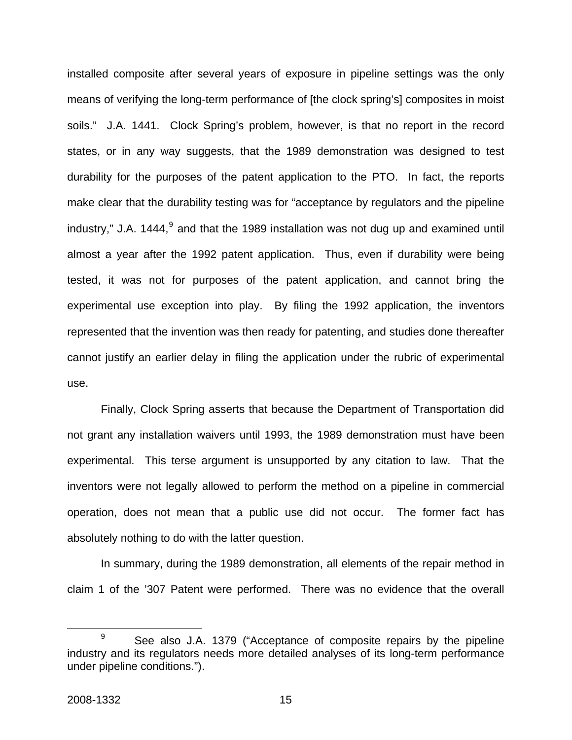installed composite after several years of exposure in pipeline settings was the only means of verifying the long-term performance of [the clock spring's] composites in moist soils." J.A. 1441. Clock Spring's problem, however, is that no report in the record states, or in any way suggests, that the 1989 demonstration was designed to test durability for the purposes of the patent application to the PTO. In fact, the reports make clear that the durability testing was for "acceptance by regulators and the pipeline industry," J.A. 1444, $9$  and that the 1989 installation was not dug up and examined until almost a year after the 1992 patent application. Thus, even if durability were being tested, it was not for purposes of the patent application, and cannot bring the experimental use exception into play. By filing the 1992 application, the inventors represented that the invention was then ready for patenting, and studies done thereafter cannot justify an earlier delay in filing the application under the rubric of experimental use.

Finally, Clock Spring asserts that because the Department of Transportation did not grant any installation waivers until 1993, the 1989 demonstration must have been experimental. This terse argument is unsupported by any citation to law. That the inventors were not legally allowed to perform the method on a pipeline in commercial operation, does not mean that a public use did not occur. The former fact has absolutely nothing to do with the latter question.

In summary, during the 1989 demonstration, all elements of the repair method in claim 1 of the '307 Patent were performed. There was no evidence that the overall

<span id="page-15-0"></span><sup>&</sup>lt;sup>9</sup> See also J.A. 1379 ("Acceptance of composite repairs by the pipeline industry and its regulators needs more detailed analyses of its long-term performance under pipeline conditions.").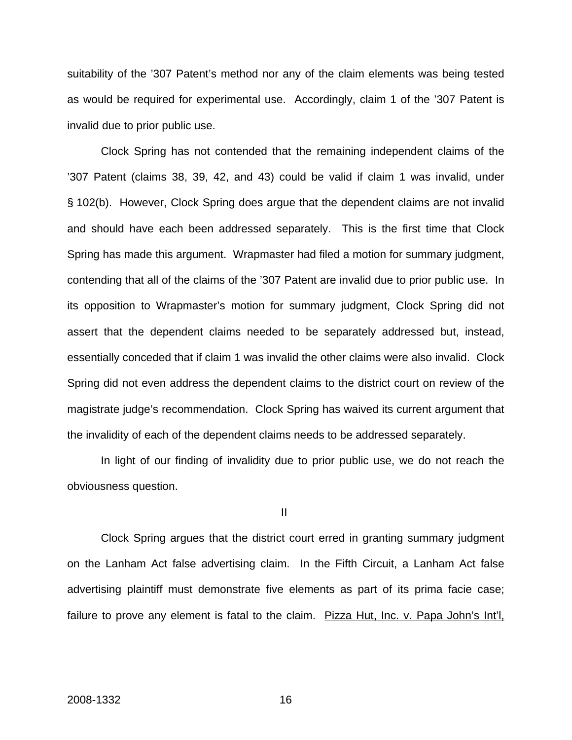suitability of the '307 Patent's method nor any of the claim elements was being tested as would be required for experimental use. Accordingly, claim 1 of the '307 Patent is invalid due to prior public use.

Clock Spring has not contended that the remaining independent claims of the '307 Patent (claims 38, 39, 42, and 43) could be valid if claim 1 was invalid, under § 102(b). However, Clock Spring does argue that the dependent claims are not invalid and should have each been addressed separately. This is the first time that Clock Spring has made this argument. Wrapmaster had filed a motion for summary judgment, contending that all of the claims of the '307 Patent are invalid due to prior public use. In its opposition to Wrapmaster's motion for summary judgment, Clock Spring did not assert that the dependent claims needed to be separately addressed but, instead, essentially conceded that if claim 1 was invalid the other claims were also invalid. Clock Spring did not even address the dependent claims to the district court on review of the magistrate judge's recommendation. Clock Spring has waived its current argument that the invalidity of each of the dependent claims needs to be addressed separately.

In light of our finding of invalidity due to prior public use, we do not reach the obviousness question.

II

Clock Spring argues that the district court erred in granting summary judgment on the Lanham Act false advertising claim. In the Fifth Circuit, a Lanham Act false advertising plaintiff must demonstrate five elements as part of its prima facie case; failure to prove any element is fatal to the claim. Pizza Hut, Inc. v. Papa John's Int'l,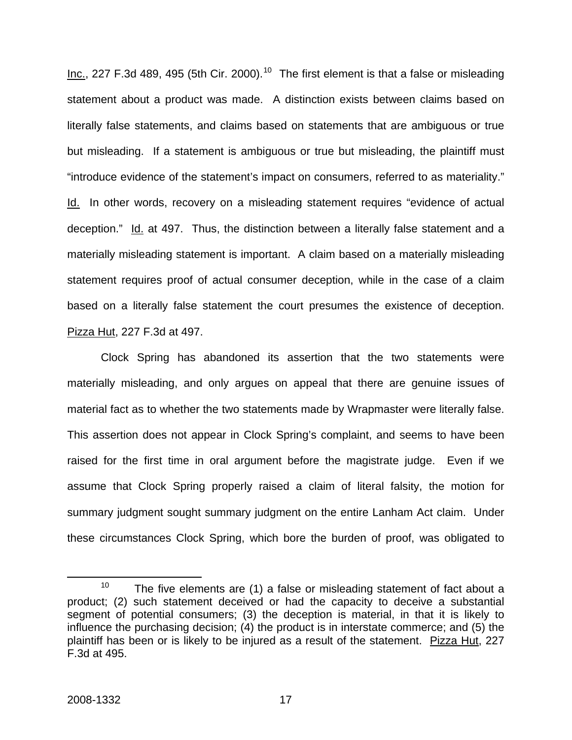Inc., 227 F.3d 489, 495 (5th Cir. 2000).<sup>[10](#page-17-0)</sup> The first element is that a false or misleading statement about a product was made. A distinction exists between claims based on literally false statements, and claims based on statements that are ambiguous or true but misleading. If a statement is ambiguous or true but misleading, the plaintiff must "introduce evidence of the statement's impact on consumers, referred to as materiality." Id. In other words, recovery on a misleading statement requires "evidence of actual deception." Id. at 497. Thus, the distinction between a literally false statement and a materially misleading statement is important. A claim based on a materially misleading statement requires proof of actual consumer deception, while in the case of a claim based on a literally false statement the court presumes the existence of deception. Pizza Hut, 227 F.3d at 497.

Clock Spring has abandoned its assertion that the two statements were materially misleading, and only argues on appeal that there are genuine issues of material fact as to whether the two statements made by Wrapmaster were literally false. This assertion does not appear in Clock Spring's complaint, and seems to have been raised for the first time in oral argument before the magistrate judge. Even if we assume that Clock Spring properly raised a claim of literal falsity, the motion for summary judgment sought summary judgment on the entire Lanham Act claim. Under these circumstances Clock Spring, which bore the burden of proof, was obligated to

<span id="page-17-0"></span><sup>&</sup>lt;sup>10</sup> The five elements are (1) a false or misleading statement of fact about a product; (2) such statement deceived or had the capacity to deceive a substantial segment of potential consumers; (3) the deception is material, in that it is likely to influence the purchasing decision; (4) the product is in interstate commerce; and (5) the plaintiff has been or is likely to be injured as a result of the statement. Pizza Hut, 227 F.3d at 495.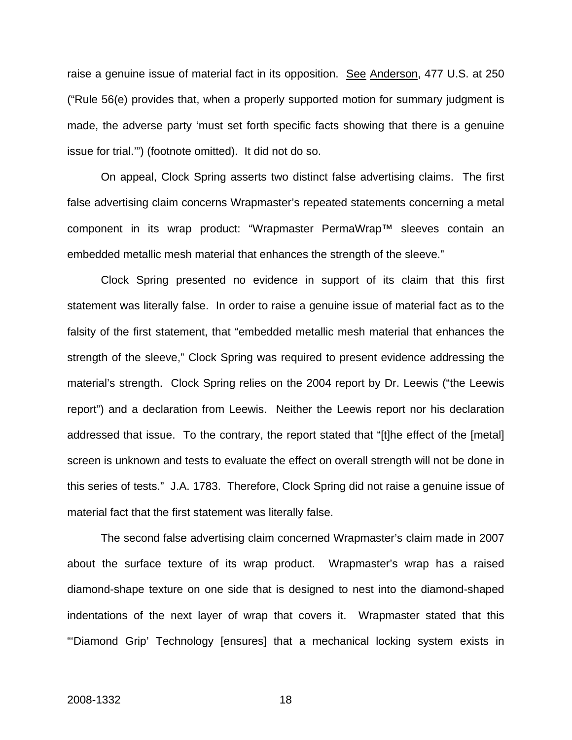raise a genuine issue of material fact in its opposition. See Anderson, 477 U.S. at 250 ("Rule 56(e) provides that, when a properly supported motion for summary judgment is made, the adverse party 'must set forth specific facts showing that there is a genuine issue for trial.'") (footnote omitted). It did not do so.

On appeal, Clock Spring asserts two distinct false advertising claims. The first false advertising claim concerns Wrapmaster's repeated statements concerning a metal component in its wrap product: "Wrapmaster PermaWrap™ sleeves contain an embedded metallic mesh material that enhances the strength of the sleeve."

Clock Spring presented no evidence in support of its claim that this first statement was literally false. In order to raise a genuine issue of material fact as to the falsity of the first statement, that "embedded metallic mesh material that enhances the strength of the sleeve," Clock Spring was required to present evidence addressing the material's strength. Clock Spring relies on the 2004 report by Dr. Leewis ("the Leewis report") and a declaration from Leewis. Neither the Leewis report nor his declaration addressed that issue. To the contrary, the report stated that "[t]he effect of the [metal] screen is unknown and tests to evaluate the effect on overall strength will not be done in this series of tests." J.A. 1783. Therefore, Clock Spring did not raise a genuine issue of material fact that the first statement was literally false.

The second false advertising claim concerned Wrapmaster's claim made in 2007 about the surface texture of its wrap product. Wrapmaster's wrap has a raised diamond-shape texture on one side that is designed to nest into the diamond-shaped indentations of the next layer of wrap that covers it. Wrapmaster stated that this "'Diamond Grip' Technology [ensures] that a mechanical locking system exists in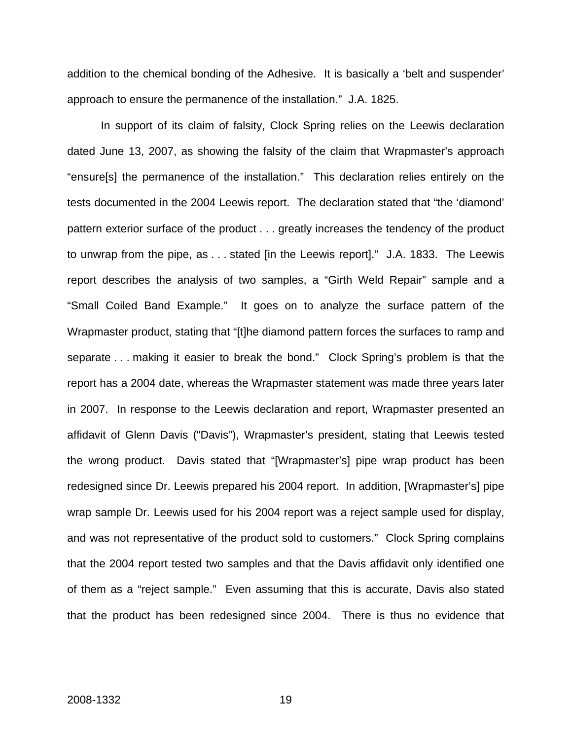addition to the chemical bonding of the Adhesive. It is basically a 'belt and suspender' approach to ensure the permanence of the installation." J.A. 1825.

In support of its claim of falsity, Clock Spring relies on the Leewis declaration dated June 13, 2007, as showing the falsity of the claim that Wrapmaster's approach "ensure[s] the permanence of the installation." This declaration relies entirely on the tests documented in the 2004 Leewis report. The declaration stated that "the 'diamond' pattern exterior surface of the product . . . greatly increases the tendency of the product to unwrap from the pipe, as . . . stated [in the Leewis report]." J.A. 1833. The Leewis report describes the analysis of two samples, a "Girth Weld Repair" sample and a "Small Coiled Band Example." It goes on to analyze the surface pattern of the Wrapmaster product, stating that "[t]he diamond pattern forces the surfaces to ramp and separate . . . making it easier to break the bond." Clock Spring's problem is that the report has a 2004 date, whereas the Wrapmaster statement was made three years later in 2007. In response to the Leewis declaration and report, Wrapmaster presented an affidavit of Glenn Davis ("Davis"), Wrapmaster's president, stating that Leewis tested the wrong product. Davis stated that "[Wrapmaster's] pipe wrap product has been redesigned since Dr. Leewis prepared his 2004 report. In addition, [Wrapmaster's] pipe wrap sample Dr. Leewis used for his 2004 report was a reject sample used for display, and was not representative of the product sold to customers." Clock Spring complains that the 2004 report tested two samples and that the Davis affidavit only identified one of them as a "reject sample." Even assuming that this is accurate, Davis also stated that the product has been redesigned since 2004. There is thus no evidence that